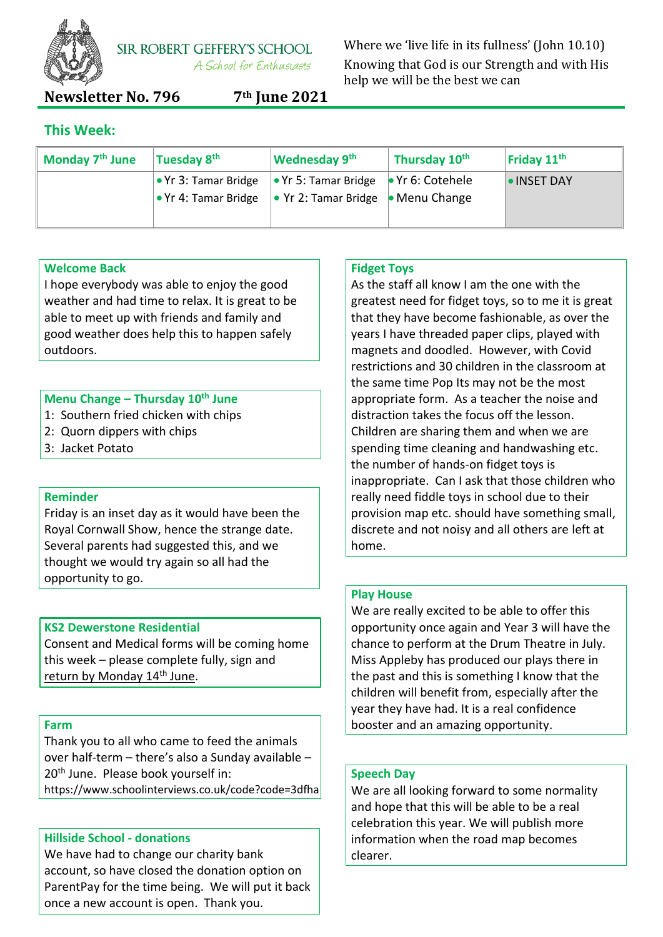

**SIR ROBERT GEFFERY'S SCHOOL** A School for Enthusiasts

Where we 'live life in its fullness' (John 10.10) Knowing that God is our Strength and with His help we will be the best we can

**Newsletter No. 796 7th June 2021**

# **This Week:**

| Monday 7 <sup>th</sup> June | Tuesday 8 <sup>th</sup> | <b>Wednesday 9th</b>                                                | Thursday 10th | Friday $11th$    |
|-----------------------------|-------------------------|---------------------------------------------------------------------|---------------|------------------|
|                             |                         | • Yr 3: Tamar Bridge  • Yr 5: Tamar Bridge  • Yr 6: Cotehele        |               | <b>INSET DAY</b> |
|                             |                         | • Yr 4: Tamar Bridge $\cdot \cdot$ Yr 2: Tamar Bridge • Menu Change |               |                  |
|                             |                         |                                                                     |               |                  |

## **Welcome Back**

I hope everybody was able to enjoy the good weather and had time to relax. It is great to be able to meet up with friends and family and good weather does help this to happen safely outdoors.

## **Menu Change – Thursday 10th June**

- 1: Southern fried chicken with chips
- 2: Quorn dippers with chips
- 3: Jacket Potato

## **Reminder**

Friday is an inset day as it would have been the Royal Cornwall Show, hence the strange date. Several parents had suggested this, and we thought we would try again so all had the opportunity to go.

## **KS2 Dewerstone Residential**

Consent and Medical forms will be coming home this week – please complete fully, sign and return by Monday 14<sup>th</sup> June.

#### **Farm**

Thank you to all who came to feed the animals over half-term – there's also a Sunday available – 20<sup>th</sup> June. Please book yourself in: https://www.schoolinterviews.co.uk/code?code=3dfha

## **Hillside School - donations**

We have had to change our charity bank account, so have closed the donation option on ParentPay for the time being. We will put it back once a new account is open. Thank you.

## **Fidget Toys**

As the staff all know I am the one with the greatest need for fidget toys, so to me it is great that they have become fashionable, as over the years I have threaded paper clips, played with magnets and doodled. However, with Covid restrictions and 30 children in the classroom at the same time Pop Its may not be the most appropriate form. As a teacher the noise and distraction takes the focus off the lesson. Children are sharing them and when we are spending time cleaning and handwashing etc. the number of hands-on fidget toys is inappropriate. Can I ask that those children who really need fiddle toys in school due to their provision map etc. should have something small, discrete and not noisy and all others are left at home.

## **Play House**

We are really excited to be able to offer this opportunity once again and Year 3 will have the chance to perform at the Drum Theatre in July. Miss Appleby has produced our plays there in the past and this is something I know that the children will benefit from, especially after the year they have had. It is a real confidence booster and an amazing opportunity.

## **Speech Day**

We are all looking forward to some normality and hope that this will be able to be a real celebration this year. We will publish more information when the road map becomes clearer.